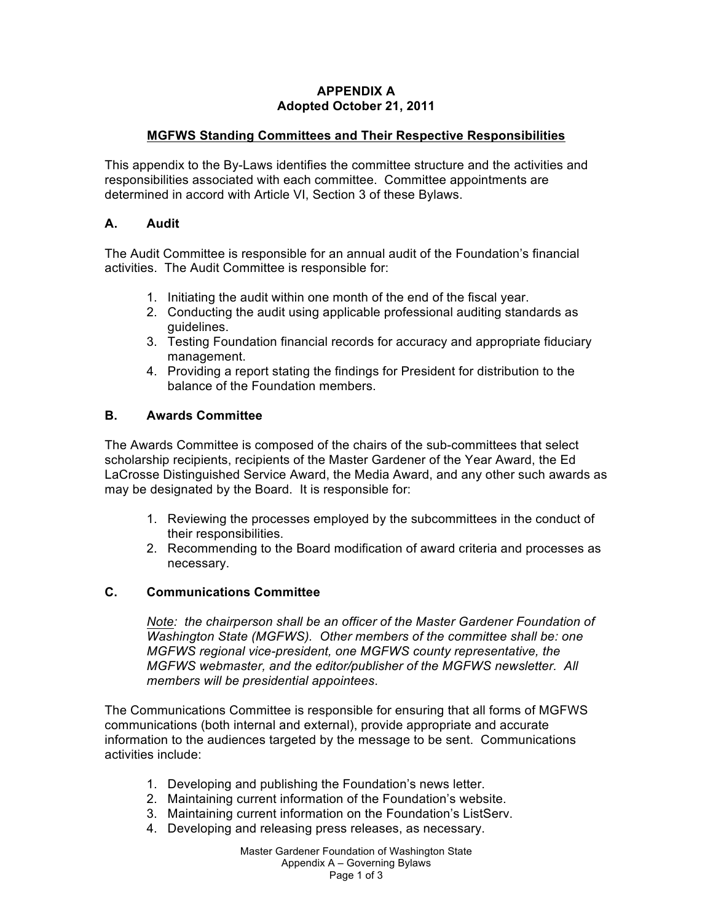### **APPENDIX A Adopted October 21, 2011**

### **MGFWS Standing Committees and Their Respective Responsibilities**

This appendix to the By-Laws identifies the committee structure and the activities and responsibilities associated with each committee. Committee appointments are determined in accord with Article VI, Section 3 of these Bylaws.

#### **A. Audit**

The Audit Committee is responsible for an annual audit of the Foundation's financial activities. The Audit Committee is responsible for:

- 1. Initiating the audit within one month of the end of the fiscal year.
- 2. Conducting the audit using applicable professional auditing standards as guidelines.
- 3. Testing Foundation financial records for accuracy and appropriate fiduciary management.
- 4. Providing a report stating the findings for President for distribution to the balance of the Foundation members.

#### **B. Awards Committee**

The Awards Committee is composed of the chairs of the sub-committees that select scholarship recipients, recipients of the Master Gardener of the Year Award, the Ed LaCrosse Distinguished Service Award, the Media Award, and any other such awards as may be designated by the Board. It is responsible for:

- 1. Reviewing the processes employed by the subcommittees in the conduct of their responsibilities.
- 2. Recommending to the Board modification of award criteria and processes as necessary.

### **C. Communications Committee**

*Note: the chairperson shall be an officer of the Master Gardener Foundation of Washington State (MGFWS). Other members of the committee shall be: one MGFWS regional vice-president, one MGFWS county representative, the MGFWS webmaster, and the editor/publisher of the MGFWS newsletter. All members will be presidential appointees*.

The Communications Committee is responsible for ensuring that all forms of MGFWS communications (both internal and external), provide appropriate and accurate information to the audiences targeted by the message to be sent. Communications activities include:

- 1. Developing and publishing the Foundation's news letter.
- 2. Maintaining current information of the Foundation's website.
- 3. Maintaining current information on the Foundation's ListServ.
- 4. Developing and releasing press releases, as necessary.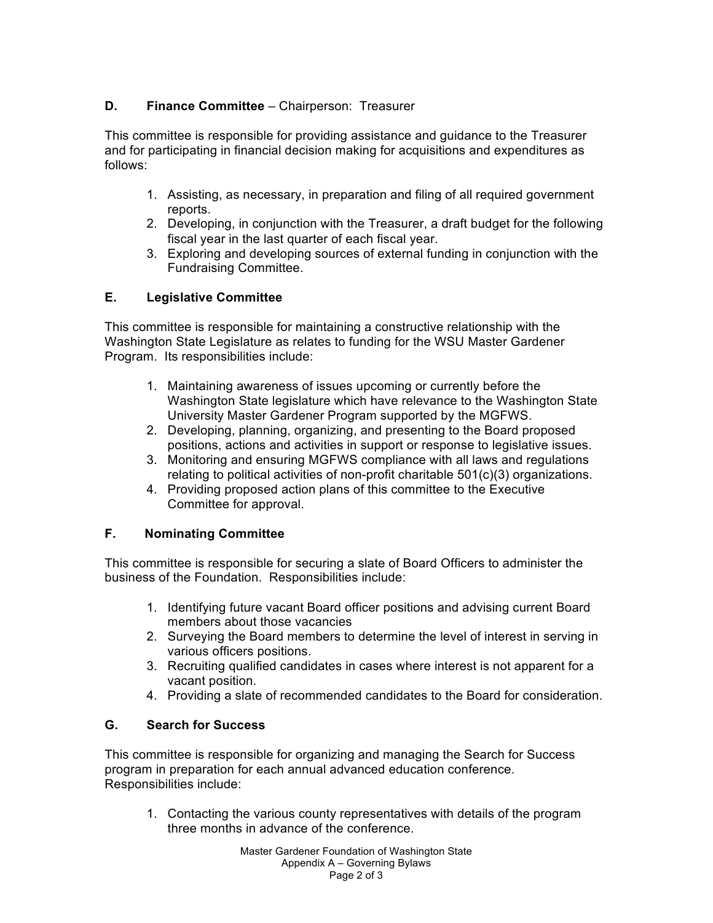# **D. Finance Committee** – Chairperson: Treasurer

This committee is responsible for providing assistance and guidance to the Treasurer and for participating in financial decision making for acquisitions and expenditures as follows:

- 1. Assisting, as necessary, in preparation and filing of all required government reports.
- 2. Developing, in conjunction with the Treasurer, a draft budget for the following fiscal year in the last quarter of each fiscal year.
- 3. Exploring and developing sources of external funding in conjunction with the Fundraising Committee.

## **E. Legislative Committee**

This committee is responsible for maintaining a constructive relationship with the Washington State Legislature as relates to funding for the WSU Master Gardener Program. Its responsibilities include:

- 1. Maintaining awareness of issues upcoming or currently before the Washington State legislature which have relevance to the Washington State University Master Gardener Program supported by the MGFWS.
- 2. Developing, planning, organizing, and presenting to the Board proposed positions, actions and activities in support or response to legislative issues.
- 3. Monitoring and ensuring MGFWS compliance with all laws and regulations relating to political activities of non-profit charitable 501(c)(3) organizations.
- 4. Providing proposed action plans of this committee to the Executive Committee for approval.

## **F. Nominating Committee**

This committee is responsible for securing a slate of Board Officers to administer the business of the Foundation. Responsibilities include:

- 1. Identifying future vacant Board officer positions and advising current Board members about those vacancies
- 2. Surveying the Board members to determine the level of interest in serving in various officers positions.
- 3. Recruiting qualified candidates in cases where interest is not apparent for a vacant position.
- 4. Providing a slate of recommended candidates to the Board for consideration.

## **G. Search for Success**

This committee is responsible for organizing and managing the Search for Success program in preparation for each annual advanced education conference. Responsibilities include:

1. Contacting the various county representatives with details of the program three months in advance of the conference.

> Master Gardener Foundation of Washington State Appendix A – Governing Bylaws Page 2 of 3